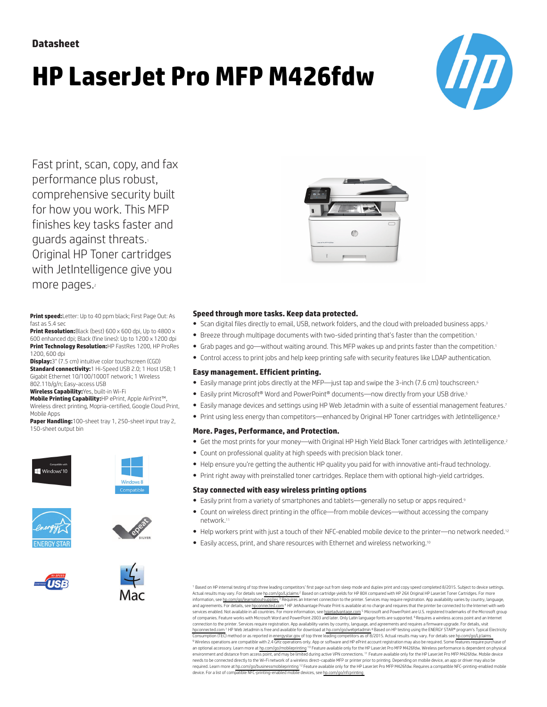# **HP LaserJet Pro MFP M426fdw**



Fast print, scan, copy, and fax performance plus robust, comprehensive security built for how you work. This MFP finishes key tasks faster and guards against threats.<sup>1</sup> Original HP Toner cartridges with JetIntelligence give you more pages.<sup>2</sup>

**Print speed:**Letter: Up to 40 ppm black; First Page Out: As fast as 5.4 sec

**Print Resolution:**Black (best) 600 x 600 dpi, Up to 4800 x 600 enhanced dpi; Black (fine lines): Up to 1200 x 1200 dpi **Print Technology Resolution:**HP FastRes 1200, HP ProRes 1200, 600 dpi

**Display:**3" (7.5 cm) intuitive color touchscreen (CGD) **Standard connectivity:**1 Hi-Speed USB 2.0; 1 Host USB; 1 Gigabit Ethernet 10/100/1000T network; 1 Wireless 802.11b/g/n; Easy-access USB

**Wireless Capability:**Yes, built-in Wi-Fi

**Mobile Printing Capability:**HP ePrint, Apple AirPrint™, Wireless direct printing, Mopria-certified, Google Cloud Print, Mobile Apps

**Paper Handling:**100-sheet tray 1, 250-sheet input tray 2, 150-sheet output bin















#### **Speed through more tasks. Keep data protected.**

- Scan digital files directly to email, USB, network folders, and the cloud with preloaded business apps.<sup>3</sup>
- Breeze through multipage documents with two-sided printing that's faster than the competition.<sup>1</sup>
- Grab pages and go—without waiting around. This MFP wakes up and prints faster than the competition.<sup>1</sup>
- Control access to print jobs and help keep printing safe with security features like LDAP authentication.

#### **Easy management. Efficient printing.**

- Easily manage print jobs directly at the MFP—just tap and swipe the 3-inch (7.6 cm) touchscreen.<sup>6</sup>
- Easily print Microsoft® Word and PowerPoint® documents—now directly from your USB drive.<sup>5</sup>
- Easily manage devices and settings using HP Web Jetadmin with a suite of essential management features.<sup>7</sup>
- Print using less energy than competitors—enhanced by Original HP Toner cartridges with JetIntelligence.8

#### **More. Pages, Performance, and Protection.**

- Get the most prints for your money—with Original HP High Yield Black Toner cartridges with JetIntelligence.<sup>2</sup>
- Count on professional quality at high speeds with precision black toner.
- Help ensure you're getting the authentic HP quality you paid for with innovative anti-fraud technology.
- Print right away with preinstalled toner cartridges. Replace them with optional high-yield cartridges.

#### **Stay connected with easy wireless printing options**

- Easily print from a variety of smartphones and tablets—generally no setup or apps required.<sup>9</sup>
- Count on wireless direct printing in the office—from mobile devices—without accessing the company network.<sup>11</sup>
- Help workers print with just a touch of their NFC-enabled mobile device to the printer—no network needed.<sup>12</sup>
- Easily access, print, and share resources with Ethernet and wireless networking.<sup>10</sup>

<sup>1</sup> Based on HP internal testing of top three leading competitors' first page out from sleep mode and duplex print and copy speed completed 8/2015. Subject to device settings. Actual results may vary. For details see [hp.com/go/Ljclaims](http://www.hp.com/go/Ljclaims) <sup>2</sup> Based on cartridge yields for HP 80X compared with HP 26X Original HP LaserJet Toner Cartridges. For more information, see [hp.com/go/learnaboutsupplies](http://www.hp.com/go/learnaboutsupplies) <sup>3</sup> Requires an Internet connection to the printer. Services may require registration. App availability varies by country, language, and agreements. For details, see [hpconnected.com](http://www.hpconnected.com)<sup>4</sup> HP JetAdvantage Private Print is available at no charge and requires that the printer be connected to the Internet with web services enabled. Not available in all countries. For more information, see hpietadvantage.com <sup>5</sup> Microsoft and PowerPoint are U.S. registered trademarks of the Microsoft group of companies. Feature works with Microsoft Word and PowerPoint 2003 and later. Only Latin language fonts are supported. <sup>6</sup>Requires a wireless access point and an Internet connection to the printer. Services require registration. App availability varies by country, language, and agreements and requires a firmware upgrade. For details, visit<br>[hpconnected.com](http://www.hpconnected.com) <sup>7</sup> HP Web Jetadmin is free and ava Consumption (TEC) method or as reported in [energystar.gov](http://energystar.gov) of top three leading competitors as of 8/2015. Actual results may vary. For details see [hp.com/go/Ljclaims](http://www.hp.com/go/Ljclaims) <sup>9</sup> Wireless operations are compatible with 2.4 GHz operations only. App or software and HP ePrint account registration may also be required. Some features require purchase of an optional accessory. Learn more at [hp.com/go/mobileprinting](http://www.hp.com/mobileprinting) <sup>10</sup> Feature available only for the HP LaserJet Pro MFP M426fdw. Wireless performance is dependent on physical environment and distance from access point, and may be limited during active VPN connections. <sup>11</sup> Feature available only for the HP LaserJet Pro MFP M426fdw. Mobile device needs to be connected directly to the Wi-Fi network of a wireless direct–capable MFP or printer prior to printing. Depending on mobile device, an app or driver may also be required. Learn more at [hp.com/go/businessmobileprinting](http://www.hp.com/go/businessmobileprinting) <sup>12</sup> Feature available only for the HP LaserJet Pro MFP M426fdw. Requires a compatible NFC-printing-enabled mobile device. For a list of compatible NFC-printing-enabled mobile devices, see [hp.com/go/nfcprinting](http://www.hp.com/go/nfcprinting)